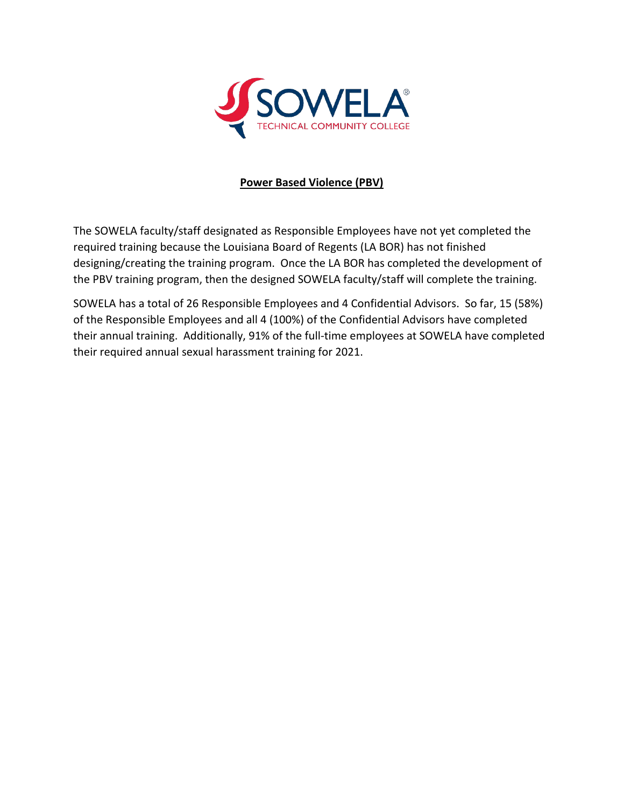

## **Power Based Violence (PBV)**

 required training because the Louisiana Board of Regents (LA BOR) has not finished designing/creating the training program. Once the LA BOR has completed the development of The SOWELA faculty/staff designated as Responsible Employees have not yet completed the the PBV training program, then the designed SOWELA faculty/staff will complete the training.

 their annual training. Additionally, 91% of the full-time employees at SOWELA have completed SOWELA has a total of 26 Responsible Employees and 4 Confidential Advisors. So far, 15 (58%) of the Responsible Employees and all 4 (100%) of the Confidential Advisors have completed their required annual sexual harassment training for 2021.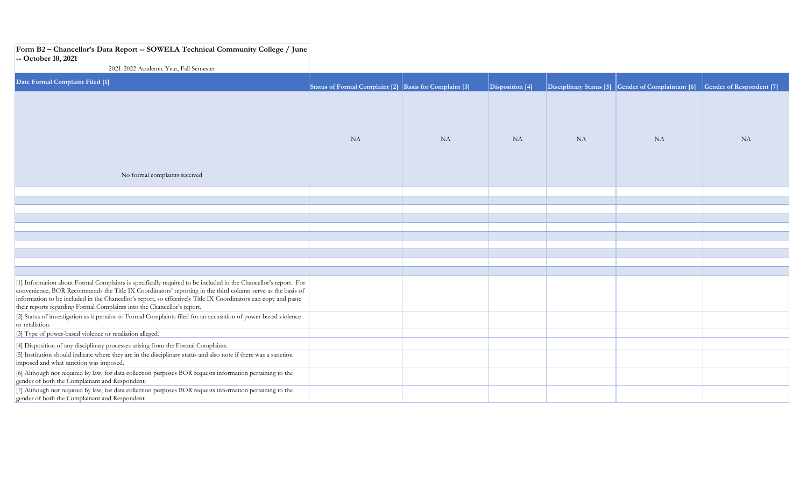## **Form B2 – Chancellor's Data Report -- SOWELA Technical Community College / June**

## **-- October 10, 2021**

2021-2022 Academic Year, Fall Semester

| Date Formal Complaint Filed [1]                                                                                                                                                                                                                                                                                                                                                                                            | Status of Formal Complaint [2] Basis for Complaint [3] |           | Disposition [4] |           | Disciplinary Status [5] Gender of Complaintant [6] Gender of Respondent [7] |           |
|----------------------------------------------------------------------------------------------------------------------------------------------------------------------------------------------------------------------------------------------------------------------------------------------------------------------------------------------------------------------------------------------------------------------------|--------------------------------------------------------|-----------|-----------------|-----------|-----------------------------------------------------------------------------|-----------|
|                                                                                                                                                                                                                                                                                                                                                                                                                            | <b>NA</b>                                              | <b>NA</b> | <b>NA</b>       | <b>NA</b> | <b>NA</b>                                                                   | <b>NA</b> |
| No formal complaints received                                                                                                                                                                                                                                                                                                                                                                                              |                                                        |           |                 |           |                                                                             |           |
|                                                                                                                                                                                                                                                                                                                                                                                                                            |                                                        |           |                 |           |                                                                             |           |
|                                                                                                                                                                                                                                                                                                                                                                                                                            |                                                        |           |                 |           |                                                                             |           |
|                                                                                                                                                                                                                                                                                                                                                                                                                            |                                                        |           |                 |           |                                                                             |           |
|                                                                                                                                                                                                                                                                                                                                                                                                                            |                                                        |           |                 |           |                                                                             |           |
|                                                                                                                                                                                                                                                                                                                                                                                                                            |                                                        |           |                 |           |                                                                             |           |
|                                                                                                                                                                                                                                                                                                                                                                                                                            |                                                        |           |                 |           |                                                                             |           |
|                                                                                                                                                                                                                                                                                                                                                                                                                            |                                                        |           |                 |           |                                                                             |           |
|                                                                                                                                                                                                                                                                                                                                                                                                                            |                                                        |           |                 |           |                                                                             |           |
| [1] Information about Formal Complaints is specifically required to be included in the Chancellor's report. For<br>convenience, BOR Recommends the Title IX Coordinators' reporting in the third column serve as the basis of<br>information to be included in the Chancellor's report, so effectively Title IX Coordinators can copy and paste<br>their reports regarding Formal Complaints into the Chancellor's report. |                                                        |           |                 |           |                                                                             |           |
| [2] Status of investigation as it pertains to Formal Complaints filed for an accusation of power-based violence<br>or retaliation.                                                                                                                                                                                                                                                                                         |                                                        |           |                 |           |                                                                             |           |
| [3] Type of power-based violence or retaliation alleged.                                                                                                                                                                                                                                                                                                                                                                   |                                                        |           |                 |           |                                                                             |           |
| [4] Disposition of any disciplinary processes arising from the Formal Complaints.                                                                                                                                                                                                                                                                                                                                          |                                                        |           |                 |           |                                                                             |           |
| [5] Institution should indicate where they are in the disciplinary status and also note if there was a sanction<br>imposed and what sanction was imposed.                                                                                                                                                                                                                                                                  |                                                        |           |                 |           |                                                                             |           |
| [6] Although not required by law, for data collection purposes BOR requests information pertaining to the<br>gender of both the Complainant and Respondent.                                                                                                                                                                                                                                                                |                                                        |           |                 |           |                                                                             |           |
| [7] Although not required by law, for data collection purposes BOR requests information pertaining to the<br>gender of both the Complainant and Respondent.                                                                                                                                                                                                                                                                |                                                        |           |                 |           |                                                                             |           |